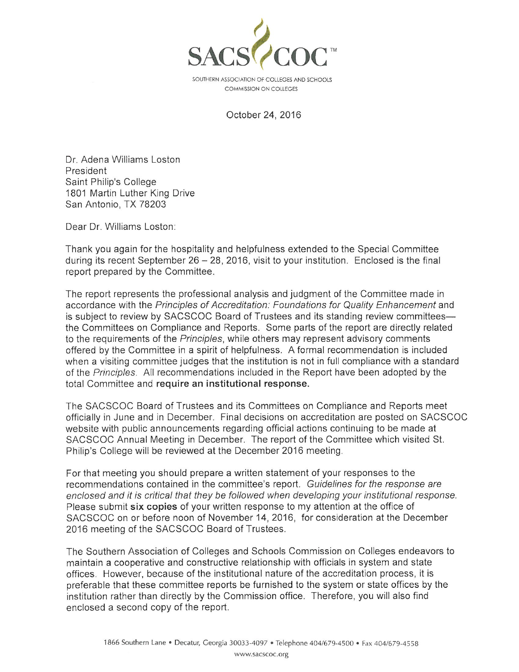

SOUTHERN ASSOCIATION OF COLLEGES AND SCHOOLS COMMISSION ON COLLEGES

October 24, 2016

Dr. Adena Williams Loston President Saint Philip's College 1801 Martin Luther King Drive San Antonio, TX 78203

Dear Dr. Williams Loston:

Thank you again for the hospitality and helpfulness extended to the Special Committee during its recent September 26 - 28, 2016, visit to your institution. Enclosed is the final report prepared by the Committee.

The report represents the professional analysis and judgment of the Committee made in accordance with the Principles of Accreditation: Foundations for Quality Enhancement and is subiect to review by SACSCOC Board of Trustees and its standing review committeesthe Committees on Compliance and Reports. Some parts of the report are directly related to the requirements of the *Principles*, while others may represent advisory comments offered by the Committee in a spirit of helpfulness. A formal recommendation is included when a visiting committee judges that the institution is not in full compliance with a standard of the Principles. All recommendations included in the Report have been adopted by the total Committee and require an institutional response.

The SACSCOC Board of Trustees and its Committees on Compliance and Reports meet officially in June and in December. Final decisions on accreditation are posted on SACSCOC website with public announcements regarding official actions continuing to be made at SACSCOC Annual Meeting in December. The report of the Committee which visited St. Philip's College will be reviewed at the December 2016 meeting.

For that meeting you should prepare a written statement of your responses to the recommendations contained in the committee's report. Guidelines for the response are enclosed and it is critical that they be followed when developing your institutional response. Please submit six copies of your written response to my attention at the office of SACSCOC on or before noon of November 14, 2016, for consideration at the December 2016 meeting of the SACSCOC Board of Trustees.

The Southern Association of Colleges and Schools Commission on Colleges endeavors to maintain a cooperative and constructive relationship with officials in system and state offices. However, because of the institutional nature of the accreditation process, it is preferable that these committee reports be furnished to the system or state offices by the institution rather than directly by the Commission office. Therefore, you will also find enclosed a second copy of the report.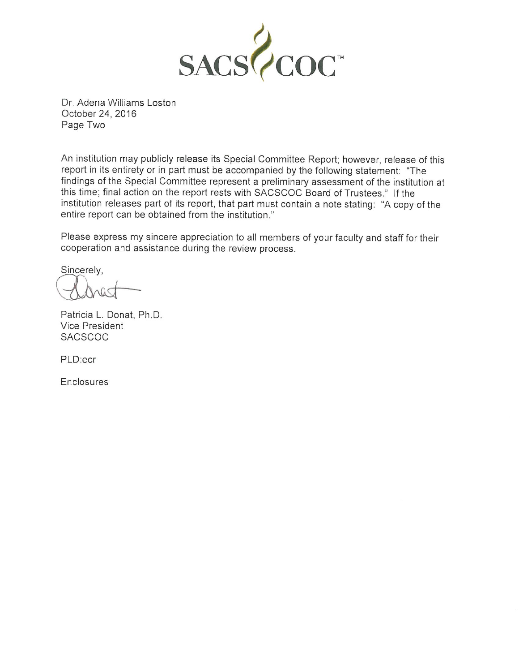

Dr. Adena Williams Loston October 24, 2016 Page Two

An institution may publicly release its Special Committee Report; however, release of this report in its entirety or in part must be accompanied by the following statement: "The findings of the Special Committee represent a preliminary assessment of the institution at this time; final action on the report rests with SACSCOC Board of Trustees." If the institution releases part of its report, that part must contain a note stating: "A copy of the entire report can be obtained from the institution."

Please express my sincere appreciation to all members of your faculty and staff for their cooperation and assistance during the review process.

Sincerely,

Patricia L. Donat, Ph.D. Vice President **SACSCOC** 

PLD:ecr

Enclosures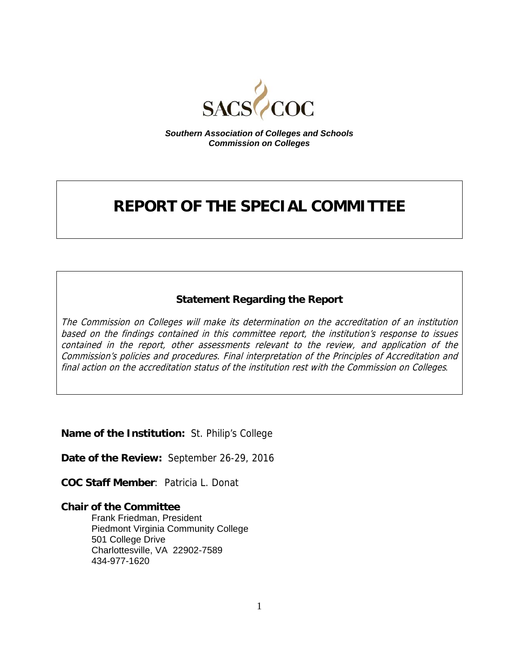

*Southern Association of Colleges and Schools Commission on Colleges* 

# **REPORT OF THE SPECIAL COMMITTEE**

### **Statement Regarding the Report**

The Commission on Colleges will make its determination on the accreditation of an institution based on the findings contained in this committee report, the institution's response to issues contained in the report, other assessments relevant to the review, and application of the Commission's policies and procedures. Final interpretation of the Principles of Accreditation and final action on the accreditation status of the institution rest with the Commission on Colleges*.*

**Name of the Institution:** St. Philip's College

**Date of the Review:** September 26-29, 2016

**COC Staff Member**: Patricia L. Donat

### **Chair of the Committee**

Frank Friedman, President Piedmont Virginia Community College 501 College Drive Charlottesville, VA 22902-7589 434-977-1620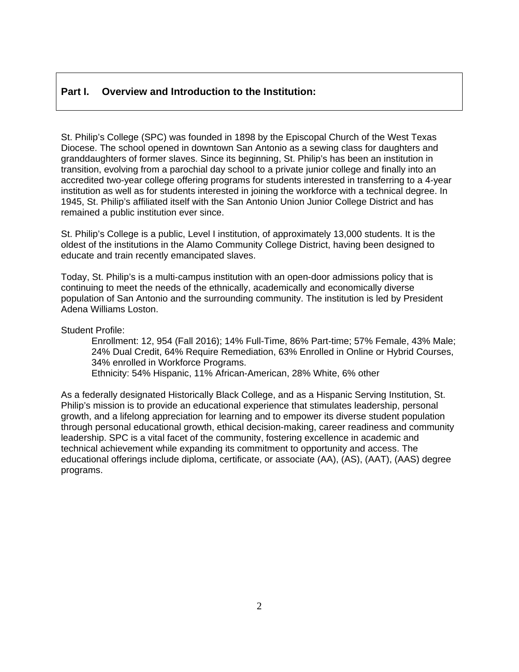### **Part I. Overview and Introduction to the Institution:**

St. Philip's College (SPC) was founded in 1898 by the Episcopal Church of the West Texas Diocese. The school opened in downtown San Antonio as a sewing class for daughters and granddaughters of former slaves. Since its beginning, St. Philip's has been an institution in transition, evolving from a parochial day school to a private junior college and finally into an accredited two-year college offering programs for students interested in transferring to a 4-year institution as well as for students interested in joining the workforce with a technical degree. In 1945, St. Philip's affiliated itself with the San Antonio Union Junior College District and has remained a public institution ever since.

St. Philip's College is a public, Level I institution, of approximately 13,000 students. It is the oldest of the institutions in the Alamo Community College District, having been designed to educate and train recently emancipated slaves.

Today, St. Philip's is a multi-campus institution with an open-door admissions policy that is continuing to meet the needs of the ethnically, academically and economically diverse population of San Antonio and the surrounding community. The institution is led by President Adena Williams Loston.

Student Profile:

 Enrollment: 12, 954 (Fall 2016); 14% Full-Time, 86% Part-time; 57% Female, 43% Male; 24% Dual Credit, 64% Require Remediation, 63% Enrolled in Online or Hybrid Courses, 34% enrolled in Workforce Programs.

Ethnicity: 54% Hispanic, 11% African-American, 28% White, 6% other

As a federally designated Historically Black College, and as a Hispanic Serving Institution, St. Philip's mission is to provide an educational experience that stimulates leadership, personal growth, and a lifelong appreciation for learning and to empower its diverse student population through personal educational growth, ethical decision-making, career readiness and community leadership. SPC is a vital facet of the community, fostering excellence in academic and technical achievement while expanding its commitment to opportunity and access. The educational offerings include diploma, certificate, or associate (AA), (AS), (AAT), (AAS) degree programs.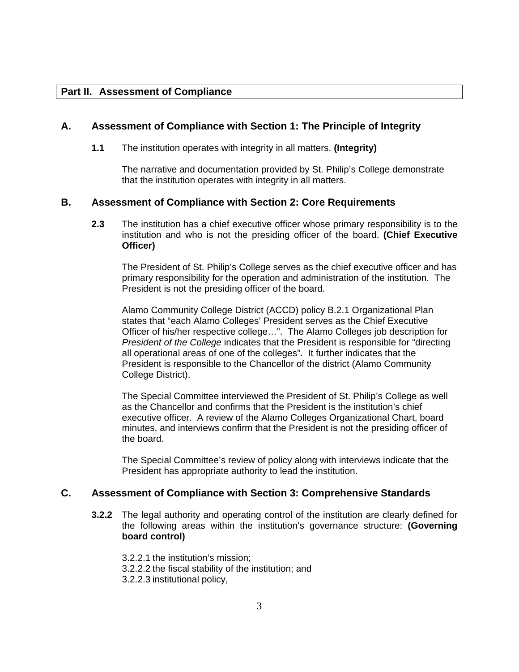### **Part II. Assessment of Compliance**

#### **A. Assessment of Compliance with Section 1: The Principle of Integrity**

 **1.1** The institution operates with integrity in all matters. **(Integrity)**

The narrative and documentation provided by St. Philip's College demonstrate that the institution operates with integrity in all matters.

#### **B. Assessment of Compliance with Section 2: Core Requirements**

**2.3** The institution has a chief executive officer whose primary responsibility is to the institution and who is not the presiding officer of the board. **(Chief Executive Officer)** 

The President of St. Philip's College serves as the chief executive officer and has primary responsibility for the operation and administration of the institution. The President is not the presiding officer of the board.

Alamo Community College District (ACCD) policy B.2.1 Organizational Plan states that "each Alamo Colleges' President serves as the Chief Executive Officer of his/her respective college…". The Alamo Colleges job description for *President of the College* indicates that the President is responsible for "directing all operational areas of one of the colleges". It further indicates that the President is responsible to the Chancellor of the district (Alamo Community College District).

The Special Committee interviewed the President of St. Philip's College as well as the Chancellor and confirms that the President is the institution's chief executive officer. A review of the Alamo Colleges Organizational Chart, board minutes, and interviews confirm that the President is not the presiding officer of the board.

The Special Committee's review of policy along with interviews indicate that the President has appropriate authority to lead the institution.

### **C. Assessment of Compliance with Section 3: Comprehensive Standards**

- **3.2.2** The legal authority and operating control of the institution are clearly defined for the following areas within the institution's governance structure: **(Governing board control)** 
	- 3.2.2.1 the institution's mission;
	- 3.2.2.2 the fiscal stability of the institution; and
	- 3.2.2.3 institutional policy,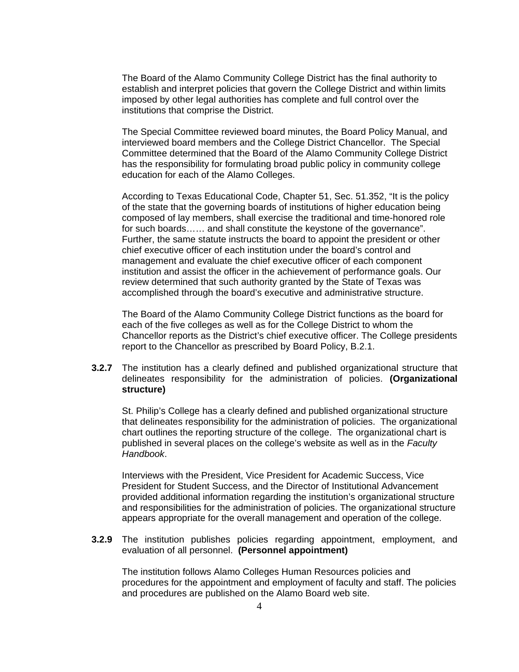The Board of the Alamo Community College District has the final authority to establish and interpret policies that govern the College District and within limits imposed by other legal authorities has complete and full control over the institutions that comprise the District.

The Special Committee reviewed board minutes, the Board Policy Manual, and interviewed board members and the College District Chancellor. The Special Committee determined that the Board of the Alamo Community College District has the responsibility for formulating broad public policy in community college education for each of the Alamo Colleges.

According to Texas Educational Code, Chapter 51, Sec. 51.352, "It is the policy of the state that the governing boards of institutions of higher education being composed of lay members, shall exercise the traditional and time-honored role for such boards…… and shall constitute the keystone of the governance". Further, the same statute instructs the board to appoint the president or other chief executive officer of each institution under the board's control and management and evaluate the chief executive officer of each component institution and assist the officer in the achievement of performance goals. Our review determined that such authority granted by the State of Texas was accomplished through the board's executive and administrative structure.

The Board of the Alamo Community College District functions as the board for each of the five colleges as well as for the College District to whom the Chancellor reports as the District's chief executive officer. The College presidents report to the Chancellor as prescribed by Board Policy, B.2.1.

**3.2.7** The institution has a clearly defined and published organizational structure that delineates responsibility for the administration of policies. **(Organizational structure)** 

St. Philip's College has a clearly defined and published organizational structure that delineates responsibility for the administration of policies. The organizational chart outlines the reporting structure of the college. The organizational chart is published in several places on the college's website as well as in the *Faculty Handbook*.

Interviews with the President, Vice President for Academic Success, Vice President for Student Success, and the Director of Institutional Advancement provided additional information regarding the institution's organizational structure and responsibilities for the administration of policies. The organizational structure appears appropriate for the overall management and operation of the college.

**3.2.9** The institution publishes policies regarding appointment, employment, and evaluation of all personnel. **(Personnel appointment)** 

The institution follows Alamo Colleges Human Resources policies and procedures for the appointment and employment of faculty and staff. The policies and procedures are published on the Alamo Board web site.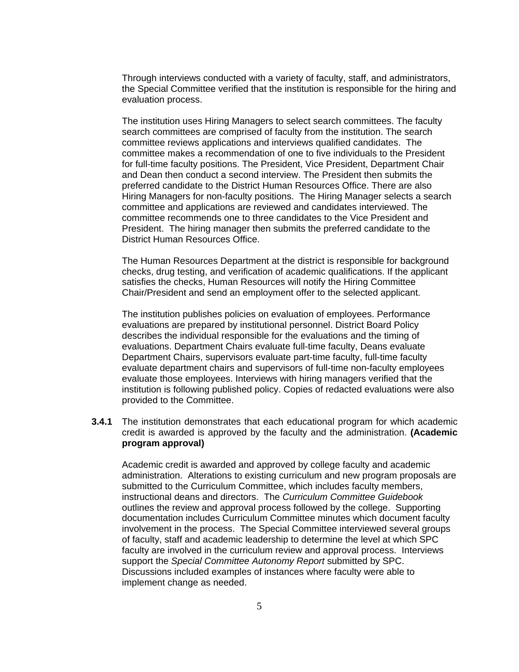Through interviews conducted with a variety of faculty, staff, and administrators, the Special Committee verified that the institution is responsible for the hiring and evaluation process.

The institution uses Hiring Managers to select search committees. The faculty search committees are comprised of faculty from the institution. The search committee reviews applications and interviews qualified candidates. The committee makes a recommendation of one to five individuals to the President for full-time faculty positions. The President, Vice President, Department Chair and Dean then conduct a second interview. The President then submits the preferred candidate to the District Human Resources Office. There are also Hiring Managers for non-faculty positions. The Hiring Manager selects a search committee and applications are reviewed and candidates interviewed. The committee recommends one to three candidates to the Vice President and President. The hiring manager then submits the preferred candidate to the District Human Resources Office.

The Human Resources Department at the district is responsible for background checks, drug testing, and verification of academic qualifications. If the applicant satisfies the checks, Human Resources will notify the Hiring Committee Chair/President and send an employment offer to the selected applicant.

The institution publishes policies on evaluation of employees. Performance evaluations are prepared by institutional personnel. District Board Policy describes the individual responsible for the evaluations and the timing of evaluations. Department Chairs evaluate full-time faculty, Deans evaluate Department Chairs, supervisors evaluate part-time faculty, full-time faculty evaluate department chairs and supervisors of full-time non-faculty employees evaluate those employees. Interviews with hiring managers verified that the institution is following published policy. Copies of redacted evaluations were also provided to the Committee.

**3.4.1** The institution demonstrates that each educational program for which academic credit is awarded is approved by the faculty and the administration. **(Academic program approval)** 

Academic credit is awarded and approved by college faculty and academic administration. Alterations to existing curriculum and new program proposals are submitted to the Curriculum Committee, which includes faculty members, instructional deans and directors. The *Curriculum Committee Guidebook* outlines the review and approval process followed by the college. Supporting documentation includes Curriculum Committee minutes which document faculty involvement in the process. The Special Committee interviewed several groups of faculty, staff and academic leadership to determine the level at which SPC faculty are involved in the curriculum review and approval process. Interviews support the *Special Committee Autonomy Report* submitted by SPC. Discussions included examples of instances where faculty were able to implement change as needed.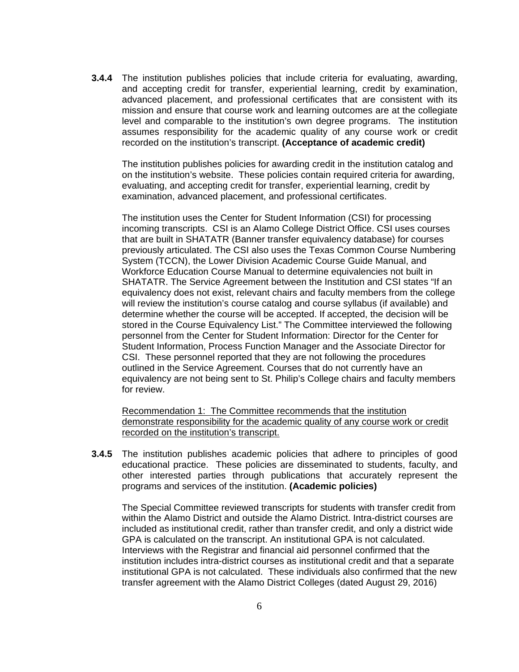**3.4.4** The institution publishes policies that include criteria for evaluating, awarding, and accepting credit for transfer, experiential learning, credit by examination, advanced placement, and professional certificates that are consistent with its mission and ensure that course work and learning outcomes are at the collegiate level and comparable to the institution's own degree programs. The institution assumes responsibility for the academic quality of any course work or credit recorded on the institution's transcript. **(Acceptance of academic credit)**

The institution publishes policies for awarding credit in the institution catalog and on the institution's website. These policies contain required criteria for awarding, evaluating, and accepting credit for transfer, experiential learning, credit by examination, advanced placement, and professional certificates.

The institution uses the Center for Student Information (CSI) for processing incoming transcripts. CSI is an Alamo College District Office. CSI uses courses that are built in SHATATR (Banner transfer equivalency database) for courses previously articulated. The CSI also uses the Texas Common Course Numbering System (TCCN), the Lower Division Academic Course Guide Manual, and Workforce Education Course Manual to determine equivalencies not built in SHATATR. The Service Agreement between the Institution and CSI states "If an equivalency does not exist, relevant chairs and faculty members from the college will review the institution's course catalog and course syllabus (if available) and determine whether the course will be accepted. If accepted, the decision will be stored in the Course Equivalency List." The Committee interviewed the following personnel from the Center for Student Information: Director for the Center for Student Information, Process Function Manager and the Associate Director for CSI. These personnel reported that they are not following the procedures outlined in the Service Agreement. Courses that do not currently have an equivalency are not being sent to St. Philip's College chairs and faculty members for review.

Recommendation 1: The Committee recommends that the institution demonstrate responsibility for the academic quality of any course work or credit recorded on the institution's transcript.

**3.4.5** The institution publishes academic policies that adhere to principles of good educational practice. These policies are disseminated to students, faculty, and other interested parties through publications that accurately represent the programs and services of the institution. **(Academic policies)**

The Special Committee reviewed transcripts for students with transfer credit from within the Alamo District and outside the Alamo District. Intra-district courses are included as institutional credit, rather than transfer credit, and only a district wide GPA is calculated on the transcript. An institutional GPA is not calculated. Interviews with the Registrar and financial aid personnel confirmed that the institution includes intra-district courses as institutional credit and that a separate institutional GPA is not calculated. These individuals also confirmed that the new transfer agreement with the Alamo District Colleges (dated August 29, 2016)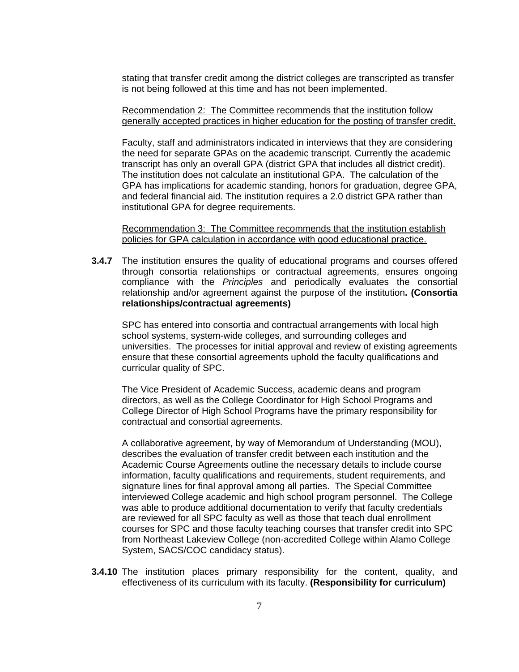stating that transfer credit among the district colleges are transcripted as transfer is not being followed at this time and has not been implemented.

Recommendation 2: The Committee recommends that the institution follow generally accepted practices in higher education for the posting of transfer credit.

Faculty, staff and administrators indicated in interviews that they are considering the need for separate GPAs on the academic transcript. Currently the academic transcript has only an overall GPA (district GPA that includes all district credit). The institution does not calculate an institutional GPA. The calculation of the GPA has implications for academic standing, honors for graduation, degree GPA, and federal financial aid. The institution requires a 2.0 district GPA rather than institutional GPA for degree requirements.

Recommendation 3: The Committee recommends that the institution establish policies for GPA calculation in accordance with good educational practice.

**3.4.7** The institution ensures the quality of educational programs and courses offered through consortia relationships or contractual agreements, ensures ongoing compliance with the *Principles* and periodically evaluates the consortial relationship and/or agreement against the purpose of the institution**. (Consortia relationships/contractual agreements)** 

SPC has entered into consortia and contractual arrangements with local high school systems, system-wide colleges, and surrounding colleges and universities. The processes for initial approval and review of existing agreements ensure that these consortial agreements uphold the faculty qualifications and curricular quality of SPC.

The Vice President of Academic Success, academic deans and program directors, as well as the College Coordinator for High School Programs and College Director of High School Programs have the primary responsibility for contractual and consortial agreements.

A collaborative agreement, by way of Memorandum of Understanding (MOU), describes the evaluation of transfer credit between each institution and the Academic Course Agreements outline the necessary details to include course information, faculty qualifications and requirements, student requirements, and signature lines for final approval among all parties. The Special Committee interviewed College academic and high school program personnel. The College was able to produce additional documentation to verify that faculty credentials are reviewed for all SPC faculty as well as those that teach dual enrollment courses for SPC and those faculty teaching courses that transfer credit into SPC from Northeast Lakeview College (non-accredited College within Alamo College System, SACS/COC candidacy status).

**3.4.10** The institution places primary responsibility for the content, quality, and effectiveness of its curriculum with its faculty. **(Responsibility for curriculum)**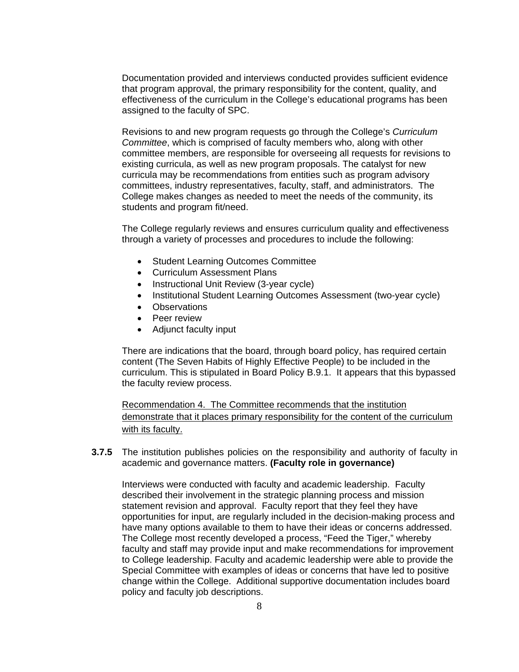Documentation provided and interviews conducted provides sufficient evidence that program approval, the primary responsibility for the content, quality, and effectiveness of the curriculum in the College's educational programs has been assigned to the faculty of SPC.

Revisions to and new program requests go through the College's *Curriculum Committee*, which is comprised of faculty members who, along with other committee members, are responsible for overseeing all requests for revisions to existing curricula, as well as new program proposals. The catalyst for new curricula may be recommendations from entities such as program advisory committees, industry representatives, faculty, staff, and administrators. The College makes changes as needed to meet the needs of the community, its students and program fit/need.

The College regularly reviews and ensures curriculum quality and effectiveness through a variety of processes and procedures to include the following:

- Student Learning Outcomes Committee
- Curriculum Assessment Plans
- Instructional Unit Review (3-year cycle)
- Institutional Student Learning Outcomes Assessment (two-year cycle)
- Observations
- Peer review
- Adjunct faculty input

There are indications that the board, through board policy, has required certain content (The Seven Habits of Highly Effective People) to be included in the curriculum. This is stipulated in Board Policy B.9.1. It appears that this bypassed the faculty review process.

Recommendation 4. The Committee recommends that the institution demonstrate that it places primary responsibility for the content of the curriculum with its faculty.

**3.7.5** The institution publishes policies on the responsibility and authority of faculty in academic and governance matters. **(Faculty role in governance)** 

Interviews were conducted with faculty and academic leadership. Faculty described their involvement in the strategic planning process and mission statement revision and approval. Faculty report that they feel they have opportunities for input, are regularly included in the decision-making process and have many options available to them to have their ideas or concerns addressed. The College most recently developed a process, "Feed the Tiger," whereby faculty and staff may provide input and make recommendations for improvement to College leadership. Faculty and academic leadership were able to provide the Special Committee with examples of ideas or concerns that have led to positive change within the College. Additional supportive documentation includes board policy and faculty job descriptions.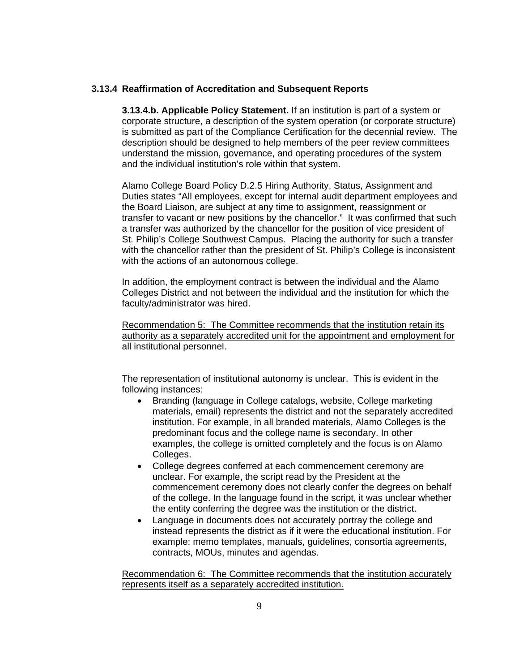#### **3.13.4 Reaffirmation of Accreditation and Subsequent Reports**

**3.13.4.b. Applicable Policy Statement.** If an institution is part of a system or corporate structure, a description of the system operation (or corporate structure) is submitted as part of the Compliance Certification for the decennial review. The description should be designed to help members of the peer review committees understand the mission, governance, and operating procedures of the system and the individual institution's role within that system.

Alamo College Board Policy D.2.5 Hiring Authority, Status, Assignment and Duties states "All employees, except for internal audit department employees and the Board Liaison, are subject at any time to assignment, reassignment or transfer to vacant or new positions by the chancellor." It was confirmed that such a transfer was authorized by the chancellor for the position of vice president of St. Philip's College Southwest Campus. Placing the authority for such a transfer with the chancellor rather than the president of St. Philip's College is inconsistent with the actions of an autonomous college.

In addition, the employment contract is between the individual and the Alamo Colleges District and not between the individual and the institution for which the faculty/administrator was hired.

Recommendation 5: The Committee recommends that the institution retain its authority as a separately accredited unit for the appointment and employment for all institutional personnel.

The representation of institutional autonomy is unclear. This is evident in the following instances:

- Branding (language in College catalogs, website, College marketing materials, email) represents the district and not the separately accredited institution. For example, in all branded materials, Alamo Colleges is the predominant focus and the college name is secondary. In other examples, the college is omitted completely and the focus is on Alamo Colleges.
- College degrees conferred at each commencement ceremony are unclear. For example, the script read by the President at the commencement ceremony does not clearly confer the degrees on behalf of the college. In the language found in the script, it was unclear whether the entity conferring the degree was the institution or the district.
- Language in documents does not accurately portray the college and instead represents the district as if it were the educational institution. For example: memo templates, manuals, guidelines, consortia agreements, contracts, MOUs, minutes and agendas.

Recommendation 6: The Committee recommends that the institution accurately represents itself as a separately accredited institution.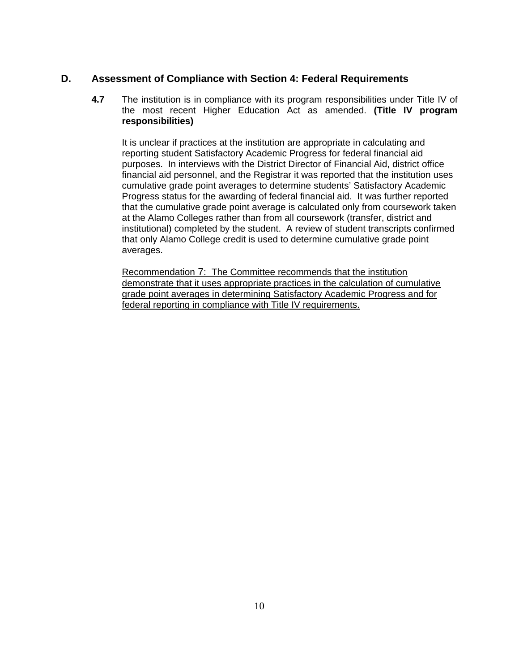### **D. Assessment of Compliance with Section 4: Federal Requirements**

**4.7** The institution is in compliance with its program responsibilities under Title IV of the most recent Higher Education Act as amended. **(Title IV program responsibilities)**

It is unclear if practices at the institution are appropriate in calculating and reporting student Satisfactory Academic Progress for federal financial aid purposes. In interviews with the District Director of Financial Aid, district office financial aid personnel, and the Registrar it was reported that the institution uses cumulative grade point averages to determine students' Satisfactory Academic Progress status for the awarding of federal financial aid. It was further reported that the cumulative grade point average is calculated only from coursework taken at the Alamo Colleges rather than from all coursework (transfer, district and institutional) completed by the student. A review of student transcripts confirmed that only Alamo College credit is used to determine cumulative grade point averages.

Recommendation 7: The Committee recommends that the institution demonstrate that it uses appropriate practices in the calculation of cumulative grade point averages in determining Satisfactory Academic Progress and for federal reporting in compliance with Title IV requirements.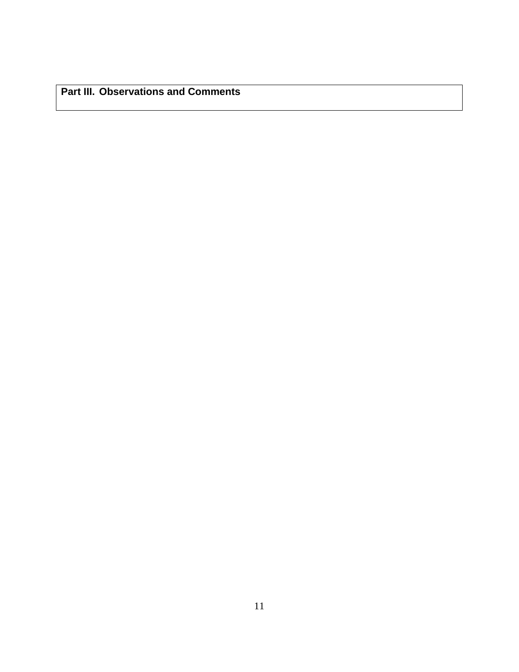**Part III. Observations and Comments**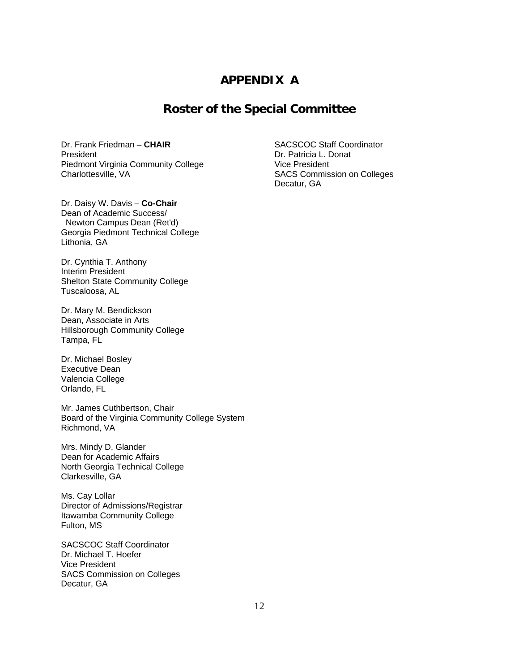### **APPENDIX A**

### **Roster of the Special Committee**

Dr. Frank Friedman – **CHAIR** SACSCOC Staff Coordinator President **Dr. Patricia L. Donat** Piedmont Virginia Community College<br>
Charlottesville, VA<br>
SACS Commiss

Dr. Daisy W. Davis – **Co-Chair**  Dean of Academic Success/ Newton Campus Dean (Ret'd) Georgia Piedmont Technical College Lithonia, GA

Dr. Cynthia T. Anthony Interim President Shelton State Community College Tuscaloosa, AL

Dr. Mary M. Bendickson Dean, Associate in Arts Hillsborough Community College Tampa, FL

Dr. Michael Bosley Executive Dean Valencia College Orlando, FL

Mr. James Cuthbertson, Chair Board of the Virginia Community College System Richmond, VA

Mrs. Mindy D. Glander Dean for Academic Affairs North Georgia Technical College Clarkesville, GA

Ms. Cay Lollar Director of Admissions/Registrar Itawamba Community College Fulton, MS

SACSCOC Staff Coordinator Dr. Michael T. Hoefer Vice President SACS Commission on Colleges Decatur, GA

SACS Commission on Colleges Decatur, GA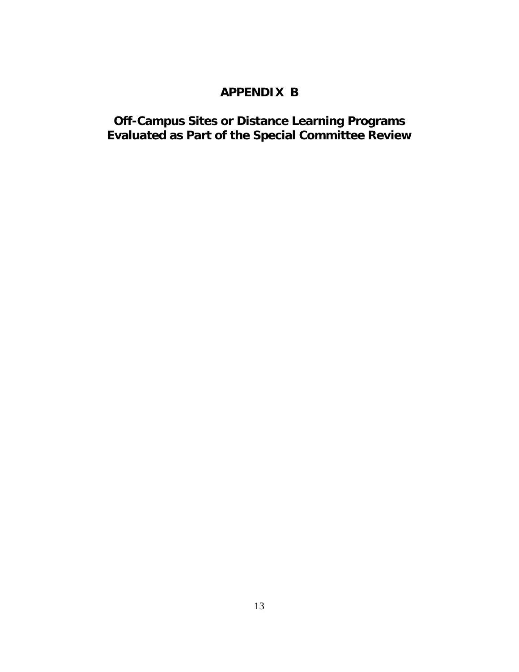## **APPENDIX B**

### **Off-Campus Sites or Distance Learning Programs Evaluated as Part of the Special Committee Review**